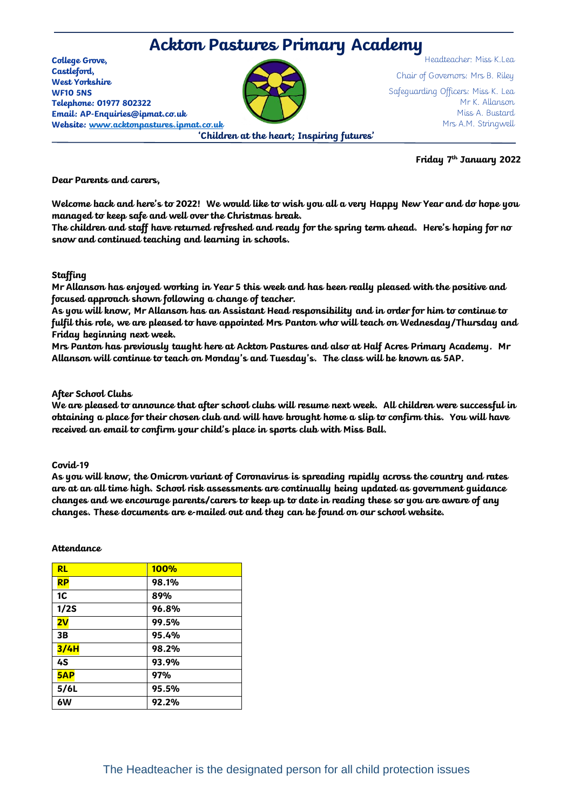# **Ackton Pastures Primary Academy**

**College Grove, Castleford, West Yorkshire WF10 5NS Telephone: 01977 802322 Email: AP-Enquiries@ipmat.co.uk Website: [www.acktonpastures.ipmat.co.uk](http://www.acktonpastures.ipmat.co.uk/)**

Chair of Governors: Mrs B. Riley Safeguarding Officers: Miss K. Lea Mr K. Allanson Miss A. Bustard Mrs A.M. Stringwell

**'Children at the heart; Inspiring futures'**

**Friday 7th January 2022**

Headteacher: Miss K.Lea

**Dear Parents and carers,** 

**Welcome back and here's to 2022! We would like to wish you all a very Happy New Year and do hope you managed to keep safe and well over the Christmas break.**

**The children and staff have returned refreshed and ready for the spring term ahead. Here's hoping for no snow and continued teaching and learning in schools.**

## **Staffing**

**Mr Allanson has enjoyed working in Year 5 this week and has been really pleased with the positive and focused approach shown following a change of teacher.** 

**As you will know, Mr Allanson has an Assistant Head responsibility and in order for him to continue to fulfil this role, we are pleased to have appointed Mrs Panton who will teach on Wednesday/Thursday and Friday beginning next week.** 

**Mrs Panton has previously taught here at Ackton Pastures and also at Half Acres Primary Academy. Mr Allanson will continue to teach on Monday's and Tuesday's. The class will be known as 5AP.**

## **After School Clubs**

**We are pleased to announce that after school clubs will resume next week. All children were successful in obtaining a place for their chosen club and will have brought home a slip to confirm this. You will have received an email to confirm your child's place in sports club with Miss Ball.** 

### **Covid-19**

**As you will know, the Omicron variant of Coronavirus is spreading rapidly across the country and rates are at an all time high. School risk assessments are continually being updated as government guidance changes and we encourage parents/carers to keep up to date in reading these so you are aware of any changes. These documents are e-mailed out and they can be found on our school website.**

### **Attendance**

| <b>RL</b>      | <b>100%</b> |
|----------------|-------------|
| <b>RP</b>      | 98.1%       |
| 1 <sub>C</sub> | 89%         |
| 1/2S           | 96.8%       |
| 2V             | 99.5%       |
| 3B             | 95.4%       |
| 3/4H           | 98.2%       |
| 4S             | 93.9%       |
| 5AP            | 97%         |
| 5/6L           | 95.5%       |
| 6W             | 92.2%       |
|                |             |